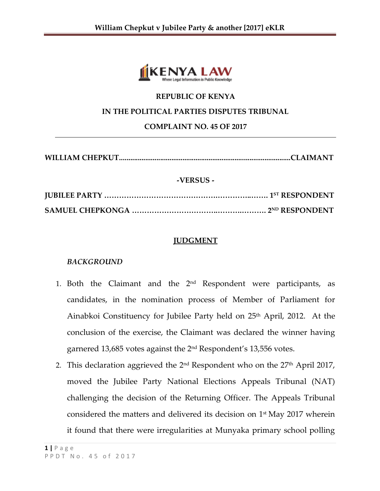

### **REPUBLIC OF KENYA**

#### **IN THE POLITICAL PARTIES DISPUTES TRIBUNAL**

**COMPLAINT NO. 45 OF 2017**

**WILLIAM CHEPKUT............................................................................................CLAIMANT**

#### **-VERSUS -**

**JUBILEE PARTY ……………………………………….…………..……. 1 ST RESPONDENT SAMUEL CHEPKONGA ……………………………..……….………. 2 ND RESPONDENT**

## **JUDGMENT**

#### *BACKGROUND*

- 1. Both the Claimant and the 2<sup>nd</sup> Respondent were participants, as candidates, in the nomination process of Member of Parliament for Ainabkoi Constituency for Jubilee Party held on 25<sup>th</sup> April, 2012. At the conclusion of the exercise, the Claimant was declared the winner having garnered 13,685 votes against the 2 nd Respondent's 13,556 votes.
- 2. This declaration aggrieved the 2 $^{\rm nd}$  Respondent who on the 27 $^{\rm th}$  April 2017, moved the Jubilee Party National Elections Appeals Tribunal (NAT) challenging the decision of the Returning Officer. The Appeals Tribunal considered the matters and delivered its decision on 1st May 2017 wherein it found that there were irregularities at Munyaka primary school polling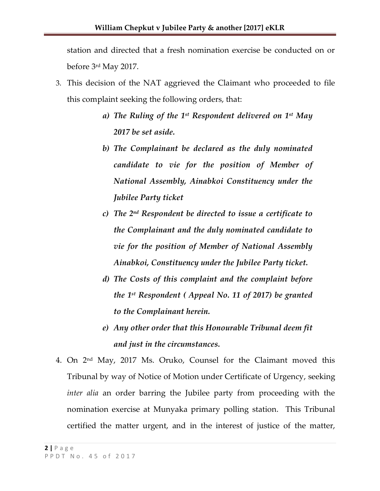station and directed that a fresh nomination exercise be conducted on or before 3rd May 2017.

- 3. This decision of the NAT aggrieved the Claimant who proceeded to file this complaint seeking the following orders, that:
	- *a) The Ruling of the 1st Respondent delivered on 1st May 2017 be set aside.*
	- *b) The Complainant be declared as the duly nominated candidate to vie for the position of Member of National Assembly, Ainabkoi Constituency under the Jubilee Party ticket*
	- *c) The 2nd Respondent be directed to issue a certificate to the Complainant and the duly nominated candidate to vie for the position of Member of National Assembly Ainabkoi, Constituency under the Jubilee Party ticket.*
	- *d) The Costs of this complaint and the complaint before the 1st Respondent ( Appeal No. 11 of 2017) be granted to the Complainant herein.*
	- *e) Any other order that this Honourable Tribunal deem fit and just in the circumstances.*
- 4. On 2 nd May, 2017 Ms. Oruko, Counsel for the Claimant moved this Tribunal by way of Notice of Motion under Certificate of Urgency, seeking *inter alia* an order barring the Jubilee party from proceeding with the nomination exercise at Munyaka primary polling station. This Tribunal certified the matter urgent, and in the interest of justice of the matter,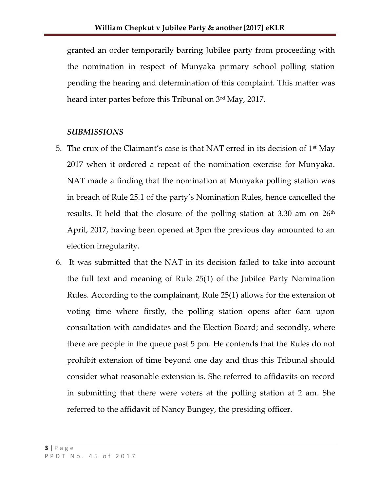granted an order temporarily barring Jubilee party from proceeding with the nomination in respect of Munyaka primary school polling station pending the hearing and determination of this complaint. This matter was heard inter partes before this Tribunal on 3rd May, 2017.

## *SUBMISSIONS*

- 5. The crux of the Claimant's case is that NAT erred in its decision of  $1<sup>st</sup>$  May 2017 when it ordered a repeat of the nomination exercise for Munyaka. NAT made a finding that the nomination at Munyaka polling station was in breach of Rule 25.1 of the party's Nomination Rules, hence cancelled the results. It held that the closure of the polling station at 3.30 am on  $26<sup>th</sup>$ April, 2017, having been opened at 3pm the previous day amounted to an election irregularity.
- 6. It was submitted that the NAT in its decision failed to take into account the full text and meaning of Rule 25(1) of the Jubilee Party Nomination Rules. According to the complainant, Rule 25(1) allows for the extension of voting time where firstly, the polling station opens after 6am upon consultation with candidates and the Election Board; and secondly, where there are people in the queue past 5 pm. He contends that the Rules do not prohibit extension of time beyond one day and thus this Tribunal should consider what reasonable extension is. She referred to affidavits on record in submitting that there were voters at the polling station at 2 am. She referred to the affidavit of Nancy Bungey, the presiding officer.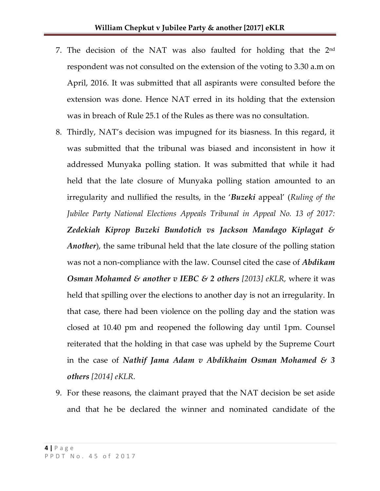- 7. The decision of the NAT was also faulted for holding that the  $2<sup>nd</sup>$ respondent was not consulted on the extension of the voting to 3.30 a.m on April, 2016. It was submitted that all aspirants were consulted before the extension was done. Hence NAT erred in its holding that the extension was in breach of Rule 25.1 of the Rules as there was no consultation.
- 8. Thirdly, NAT's decision was impugned for its biasness. In this regard, it was submitted that the tribunal was biased and inconsistent in how it addressed Munyaka polling station. It was submitted that while it had held that the late closure of Munyaka polling station amounted to an irregularity and nullified the results, in the '*Buzeki* appeal' (*Ruling of the Jubilee Party National Elections Appeals Tribunal in Appeal No. 13 of 2017: Zedekiah Kiprop Buzeki Bundotich vs Jackson Mandago Kiplagat & Another*), the same tribunal held that the late closure of the polling station was not a non-compliance with the law. Counsel cited the case of *Abdikam Osman Mohamed & another v IEBC & 2 others [2013] eKLR,* where it was held that spilling over the elections to another day is not an irregularity. In that case, there had been violence on the polling day and the station was closed at 10.40 pm and reopened the following day until 1pm. Counsel reiterated that the holding in that case was upheld by the Supreme Court in the case of *Nathif Jama Adam v Abdikhaim Osman Mohamed & 3 others [2014] eKLR*.
- 9. For these reasons, the claimant prayed that the NAT decision be set aside and that he be declared the winner and nominated candidate of the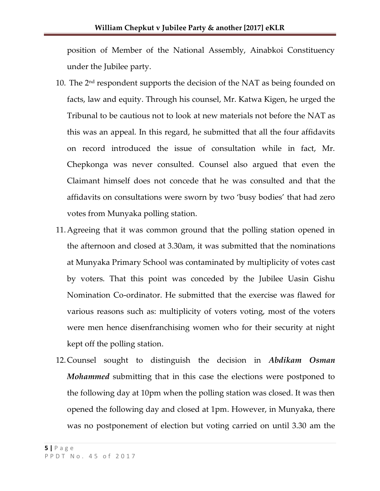position of Member of the National Assembly, Ainabkoi Constituency under the Jubilee party.

- 10. The  $2<sup>nd</sup>$  respondent supports the decision of the NAT as being founded on facts, law and equity. Through his counsel, Mr. Katwa Kigen, he urged the Tribunal to be cautious not to look at new materials not before the NAT as this was an appeal. In this regard, he submitted that all the four affidavits on record introduced the issue of consultation while in fact, Mr. Chepkonga was never consulted. Counsel also argued that even the Claimant himself does not concede that he was consulted and that the affidavits on consultations were sworn by two 'busy bodies' that had zero votes from Munyaka polling station.
- 11.Agreeing that it was common ground that the polling station opened in the afternoon and closed at 3.30am, it was submitted that the nominations at Munyaka Primary School was contaminated by multiplicity of votes cast by voters. That this point was conceded by the Jubilee Uasin Gishu Nomination Co-ordinator. He submitted that the exercise was flawed for various reasons such as: multiplicity of voters voting, most of the voters were men hence disenfranchising women who for their security at night kept off the polling station.
- 12.Counsel sought to distinguish the decision in *Abdikam Osman Mohammed* submitting that in this case the elections were postponed to the following day at 10pm when the polling station was closed. It was then opened the following day and closed at 1pm. However, in Munyaka, there was no postponement of election but voting carried on until 3.30 am the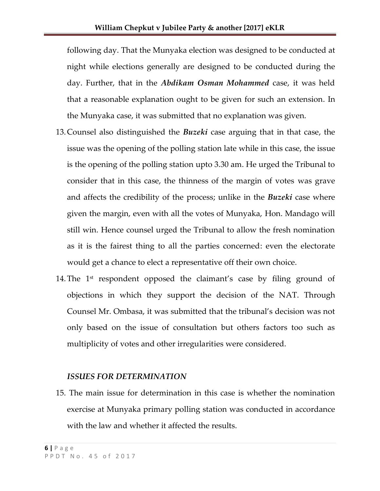following day. That the Munyaka election was designed to be conducted at night while elections generally are designed to be conducted during the day. Further, that in the *Abdikam Osman Mohammed* case, it was held that a reasonable explanation ought to be given for such an extension. In the Munyaka case, it was submitted that no explanation was given.

- 13.Counsel also distinguished the *Buzeki* case arguing that in that case, the issue was the opening of the polling station late while in this case, the issue is the opening of the polling station upto 3.30 am. He urged the Tribunal to consider that in this case, the thinness of the margin of votes was grave and affects the credibility of the process; unlike in the *Buzeki* case where given the margin, even with all the votes of Munyaka, Hon. Mandago will still win. Hence counsel urged the Tribunal to allow the fresh nomination as it is the fairest thing to all the parties concerned: even the electorate would get a chance to elect a representative off their own choice.
- 14. The  $1<sup>st</sup>$  respondent opposed the claimant's case by filing ground of objections in which they support the decision of the NAT. Through Counsel Mr. Ombasa, it was submitted that the tribunal's decision was not only based on the issue of consultation but others factors too such as multiplicity of votes and other irregularities were considered.

#### *ISSUES FOR DETERMINATION*

15. The main issue for determination in this case is whether the nomination exercise at Munyaka primary polling station was conducted in accordance with the law and whether it affected the results.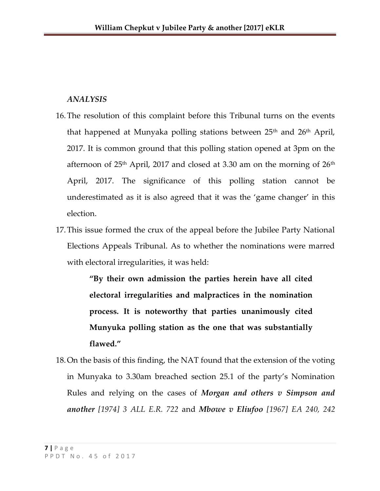## *ANALYSIS*

- 16.The resolution of this complaint before this Tribunal turns on the events that happened at Munyaka polling stations between  $25<sup>th</sup>$  and  $26<sup>th</sup>$  April, 2017. It is common ground that this polling station opened at 3pm on the afternoon of  $25<sup>th</sup>$  April, 2017 and closed at 3.30 am on the morning of  $26<sup>th</sup>$ April, 2017. The significance of this polling station cannot be underestimated as it is also agreed that it was the 'game changer' in this election.
- 17.This issue formed the crux of the appeal before the Jubilee Party National Elections Appeals Tribunal. As to whether the nominations were marred with electoral irregularities, it was held:

**"By their own admission the parties herein have all cited electoral irregularities and malpractices in the nomination process. It is noteworthy that parties unanimously cited Munyuka polling station as the one that was substantially flawed."**

18.On the basis of this finding, the NAT found that the extension of the voting in Munyaka to 3.30am breached section 25.1 of the party's Nomination Rules and relying on the cases of *Morgan and others v Simpson and another [1974] 3 ALL E.R. 722* and *Mbowe v Eliufoo [1967] EA 240, 242*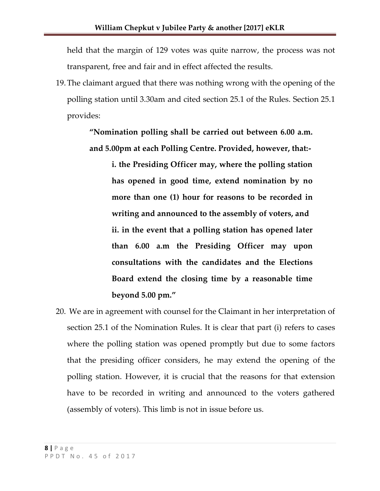held that the margin of 129 votes was quite narrow, the process was not transparent, free and fair and in effect affected the results.

19.The claimant argued that there was nothing wrong with the opening of the polling station until 3.30am and cited section 25.1 of the Rules. Section 25.1 provides:

> **"Nomination polling shall be carried out between 6.00 a.m. and 5.00pm at each Polling Centre. Provided, however, that:-**

> > **i. the Presiding Officer may, where the polling station has opened in good time, extend nomination by no more than one (1) hour for reasons to be recorded in writing and announced to the assembly of voters, and ii. in the event that a polling station has opened later than 6.00 a.m the Presiding Officer may upon consultations with the candidates and the Elections Board extend the closing time by a reasonable time beyond 5.00 pm."**

20. We are in agreement with counsel for the Claimant in her interpretation of section 25.1 of the Nomination Rules. It is clear that part (i) refers to cases where the polling station was opened promptly but due to some factors that the presiding officer considers, he may extend the opening of the polling station. However, it is crucial that the reasons for that extension have to be recorded in writing and announced to the voters gathered (assembly of voters). This limb is not in issue before us.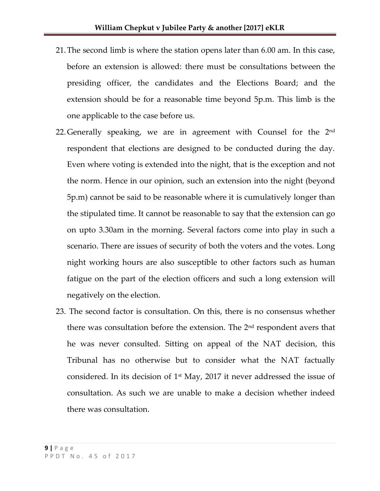- 21.The second limb is where the station opens later than 6.00 am. In this case, before an extension is allowed: there must be consultations between the presiding officer, the candidates and the Elections Board; and the extension should be for a reasonable time beyond 5p.m. This limb is the one applicable to the case before us.
- 22. Generally speaking, we are in agreement with Counsel for the  $2<sup>nd</sup>$ respondent that elections are designed to be conducted during the day. Even where voting is extended into the night, that is the exception and not the norm. Hence in our opinion, such an extension into the night (beyond 5p.m) cannot be said to be reasonable where it is cumulatively longer than the stipulated time. It cannot be reasonable to say that the extension can go on upto 3.30am in the morning. Several factors come into play in such a scenario. There are issues of security of both the voters and the votes. Long night working hours are also susceptible to other factors such as human fatigue on the part of the election officers and such a long extension will negatively on the election.
- 23. The second factor is consultation. On this, there is no consensus whether there was consultation before the extension. The  $2<sup>nd</sup>$  respondent avers that he was never consulted. Sitting on appeal of the NAT decision, this Tribunal has no otherwise but to consider what the NAT factually considered. In its decision of  $1<sup>st</sup>$  May, 2017 it never addressed the issue of consultation. As such we are unable to make a decision whether indeed there was consultation.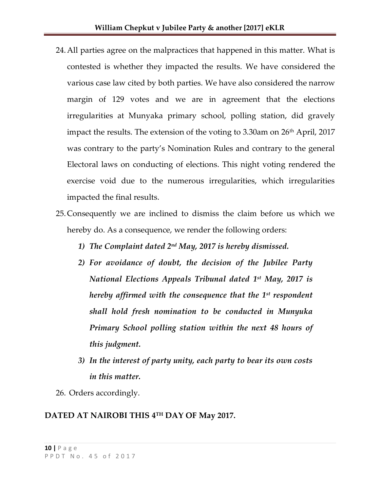- 24.All parties agree on the malpractices that happened in this matter. What is contested is whether they impacted the results. We have considered the various case law cited by both parties. We have also considered the narrow margin of 129 votes and we are in agreement that the elections irregularities at Munyaka primary school, polling station, did gravely impact the results. The extension of the voting to 3.30am on  $26<sup>th</sup>$  April, 2017 was contrary to the party's Nomination Rules and contrary to the general Electoral laws on conducting of elections. This night voting rendered the exercise void due to the numerous irregularities, which irregularities impacted the final results.
- 25.Consequently we are inclined to dismiss the claim before us which we hereby do. As a consequence, we render the following orders:
	- *1) The Complaint dated 2nd May, 2017 is hereby dismissed.*
	- *2) For avoidance of doubt, the decision of the Jubilee Party National Elections Appeals Tribunal dated 1 st May, 2017 is hereby affirmed with the consequence that the 1st respondent shall hold fresh nomination to be conducted in Munyuka Primary School polling station within the next 48 hours of this judgment.*
	- *3) In the interest of party unity, each party to bear its own costs in this matter.*
- 26. Orders accordingly.

# **DATED AT NAIROBI THIS 4 TH DAY OF May 2017.**